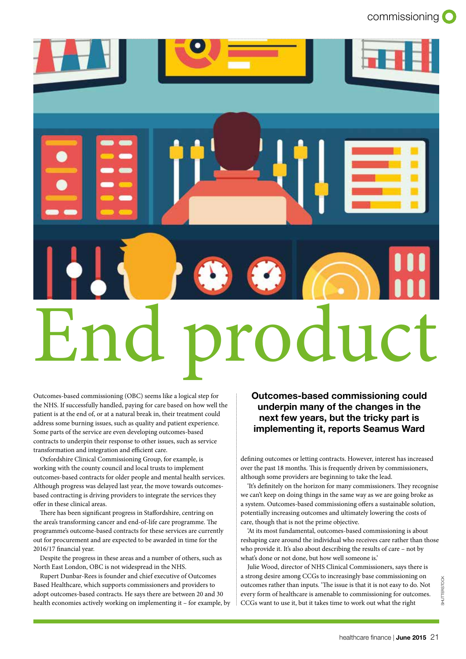

Outcomes-based commissioning (OBC) seems like a logical step for the NHS. If successfully handled, paying for care based on how well the patient is at the end of, or at a natural break in, their treatment could address some burning issues, such as quality and patient experience. Some parts of the service are even developing outcomes-based contracts to underpin their response to other issues, such as service transformation and integration and efficient care.

Oxfordshire Clinical Commissioning Group, for example, is working with the county council and local trusts to implement outcomes-based contracts for older people and mental health services. Although progress was delayed last year, the move towards outcomesbased contracting is driving providers to integrate the services they offer in these clinical areas.

There has been significant progress in Staffordshire, centring on the area's transforming cancer and end-of-life care programme. The programme's outcome-based contracts for these services are currently out for procurement and are expected to be awarded in time for the 2016/17 financial year.

Despite the progress in these areas and a number of others, such as North East London, OBC is not widespread in the NHS.

Rupert Dunbar-Rees is founder and chief executive of Outcomes Based Healthcare, which supports commissioners and providers to adopt outcomes-based contracts. He says there are between 20 and 30 health economies actively working on implementing it – for example, by Outcomes-based commissioning could underpin many of the changes in the next few years, but the tricky part is implementing it, reports Seamus Ward

defining outcomes or letting contracts. However, interest has increased over the past 18 months. This is frequently driven by commissioners, although some providers are beginning to take the lead.

'It's definitely on the horizon for many commissioners. They recognise we can't keep on doing things in the same way as we are going broke as a system. Outcomes-based commissioning offers a sustainable solution, potentially increasing outcomes and ultimately lowering the costs of care, though that is not the prime objective.

'At its most fundamental, outcomes-based commissioning is about reshaping care around the individual who receives care rather than those who provide it. It's also about describing the results of care – not by what's done or not done, but how well someone is.'

Julie Wood, director of NHS Clinical Commissioners, says there is a strong desire among CCGs to increasingly base commissioning on outcomes rather than inputs. 'The issue is that it is not easy to do. Not every form of healthcare is amenable to commissioning for outcomes. CCGs want to use it, but it takes time to work out what the right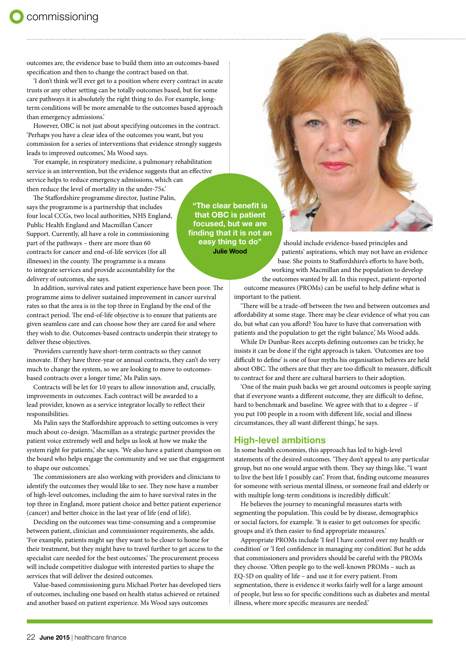outcomes are, the evidence base to build them into an outcomes-based specification and then to change the contract based on that.

'I don't think we'll ever get to a position where every contract in acute trusts or any other setting can be totally outcomes based, but for some care pathways it is absolutely the right thing to do. For example, longterm conditions will be more amenable to the outcomes based approach than emergency admissions.'

However, OBC is not just about specifying outcomes in the contract. 'Perhaps you have a clear idea of the outcomes you want, but you commission for a series of interventions that evidence strongly suggests leads to improved outcomes,' Ms Wood says.

'For example, in respiratory medicine, a pulmonary rehabilitation service is an intervention, but the evidence suggests that an effective service helps to reduce emergency admissions, which can then reduce the level of mortality in the under-75s.'

The Staffordshire programme director, Justine Palin, says the programme is a partnership that includes four local CCGs, two local authorities, NHS England, Public Health England and Macmillan Cancer Support. Currently, all have a role in commissioning part of the pathways – there are more than 60 contracts for cancer and end-of-life services (for all illnesses) in the county. The programme is a means to integrate services and provide accountability for the delivery of outcomes, she says.

In addition, survival rates and patient experience have been poor. The programme aims to deliver sustained improvement in cancer survival rates so that the area is in the top three in England by the end of the contract period. The end-of-life objective is to ensure that patients are given seamless care and can choose how they are cared for and where they wish to die. Outcomes-based contracts underpin their strategy to deliver these objectives.

'Providers currently have short-term contracts so they cannot innovate. If they have three-year or annual contracts, they can't do very much to change the system, so we are looking to move to outcomesbased contracts over a longer time,' Ms Palin says.

Contracts will be let for 10 years to allow innovation and, crucially, improvements in outcomes. Each contract will be awarded to a lead provider, known as a service integrator locally to reflect their responsibilities.

Ms Palin says the Staffordshire approach to setting outcomes is very much about co-design. 'Macmillan as a strategic partner provides the patient voice extremely well and helps us look at how we make the system right for patients,' she says. 'We also have a patient champion on the board who helps engage the community and we use that engagement to shape our outcomes.'

The commissioners are also working with providers and clinicians to identify the outcomes they would like to see. They now have a number of high-level outcomes, including the aim to have survival rates in the top three in England, more patient choice and better patient experience (cancer) and better choice in the last year of life (end of life).

Deciding on the outcomes was time-consuming and a compromise between patient, clinician and commissioner requirements, she adds. 'For example, patients might say they want to be closer to home for their treatment, but they might have to travel further to get access to the specialist care needed for the best outcomes.' The procurement process will include competitive dialogue with interested parties to shape the services that will deliver the desired outcomes.

Value-based commissioning guru Michael Porter has developed tiers of outcomes, including one based on health status achieved or retained and another based on patient experience. Ms Wood says outcomes

"The clear benefit is that OBC is patient focused, but we are finding that it is not an easy thing to do" Julie Wood

should include evidence-based principles and patients' aspirations, which may not have an evidence base. She points to Staffordshire's efforts to have both, working with Macmillan and the population to develop the outcomes wanted by all. In this respect, patient-reported outcome measures (PROMs) can be useful to help define what is important to the patient.

'There will be a trade-off between the two and between outcomes and affordability at some stage. There may be clear evidence of what you can do, but what can you afford? You have to have that conversation with patients and the population to get the right balance,' Ms Wood adds.

While Dr Dunbar-Rees accepts defining outcomes can be tricky, he insists it can be done if the right approach is taken. 'Outcomes are too difficult to define' is one of four myths his organisation believes are held about OBC. The others are that they are too difficult to measure, difficult to contract for and there are cultural barriers to their adoption.

'One of the main push backs we get around outcomes is people saying that if everyone wants a different outcome, they are difficult to define, hard to benchmark and baseline. We agree with that to a degree – if you put 100 people in a room with different life, social and illness circumstances, they all want different things,' he says.

## High-level ambitions

In some health economies, this approach has led to high-level statements of the desired outcomes. 'They don't appeal to any particular group, but no one would argue with them. They say things like, "I want to live the best life I possibly can". From that, finding outcome measures for someone with serious mental illness, or someone frail and elderly or with multiple long-term conditions is incredibly difficult.'

He believes the journey to meaningful measures starts with segmenting the population. This could be by disease, demographics or social factors, for example. 'It is easier to get outcomes for specific groups and it's then easier to find appropriate measures.'

Appropriate PROMs include 'I feel I have control over my health or condition' or 'I feel confidence in managing my condition'. But he adds that commissioners and providers should be careful with the PROMs they choose. 'Often people go to the well-known PROMs – such as EQ-5D on quality of life – and use it for every patient. From segmentation, there is evidence it works fairly well for a large amount of people, but less so for specific conditions such as diabetes and mental illness, where more specific measures are needed.'